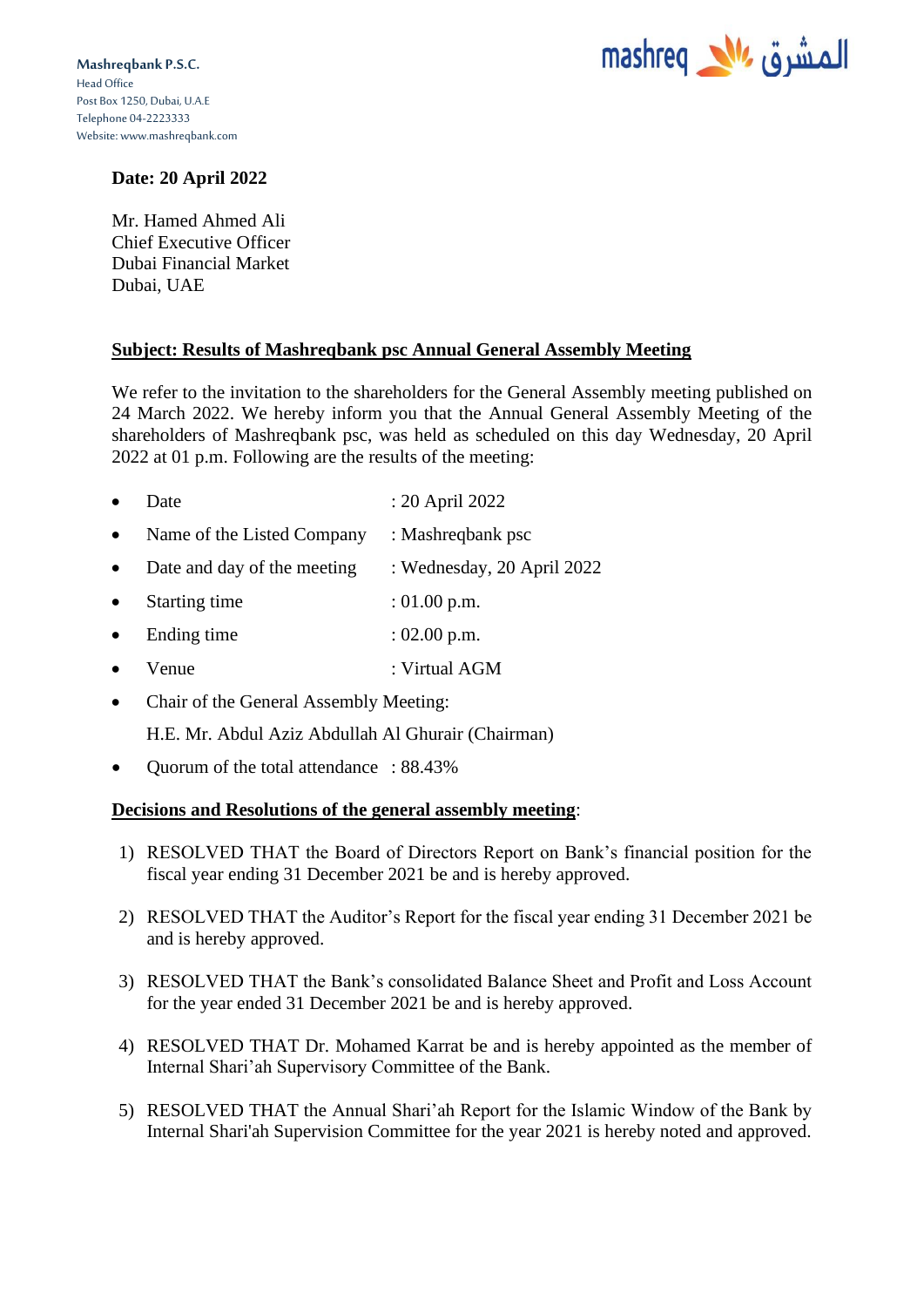

## **Date: 20 April 2022**

Mr. Hamed Ahmed Ali Chief Executive Officer Dubai Financial Market Dubai, UAE

## **Subject: Results of Mashreqbank psc Annual General Assembly Meeting**

We refer to the invitation to the shareholders for the General Assembly meeting published on 24 March 2022. We hereby inform you that the Annual General Assembly Meeting of the shareholders of Mashreqbank psc, was held as scheduled on this day Wednesday, 20 April 2022 at 01 p.m. Following are the results of the meeting:

- Date : 20 April 2022
- Name of the Listed Company : Mashreqbank psc
- Date and day of the meeting : Wednesday, 20 April 2022
- Starting time : 01.00 p.m.
- Ending time : 02.00 p.m.
- Venue : Virtual AGM
- Chair of the General Assembly Meeting:

H.E. Mr. Abdul Aziz Abdullah Al Ghurair (Chairman)

• Quorum of the total attendance : 88.43%

## **Decisions and Resolutions of the general assembly meeting**:

- 1) RESOLVED THAT the Board of Directors Report on Bank's financial position for the fiscal year ending 31 December 2021 be and is hereby approved.
- 2) RESOLVED THAT the Auditor's Report for the fiscal year ending 31 December 2021 be and is hereby approved.
- 3) RESOLVED THAT the Bank's consolidated Balance Sheet and Profit and Loss Account for the year ended 31 December 2021 be and is hereby approved.
- 4) RESOLVED THAT Dr. Mohamed Karrat be and is hereby appointed as the member of Internal Shari'ah Supervisory Committee of the Bank.
- 5) RESOLVED THAT the Annual Shari'ah Report for the Islamic Window of the Bank by Internal Shari'ah Supervision Committee for the year 2021 is hereby noted and approved.